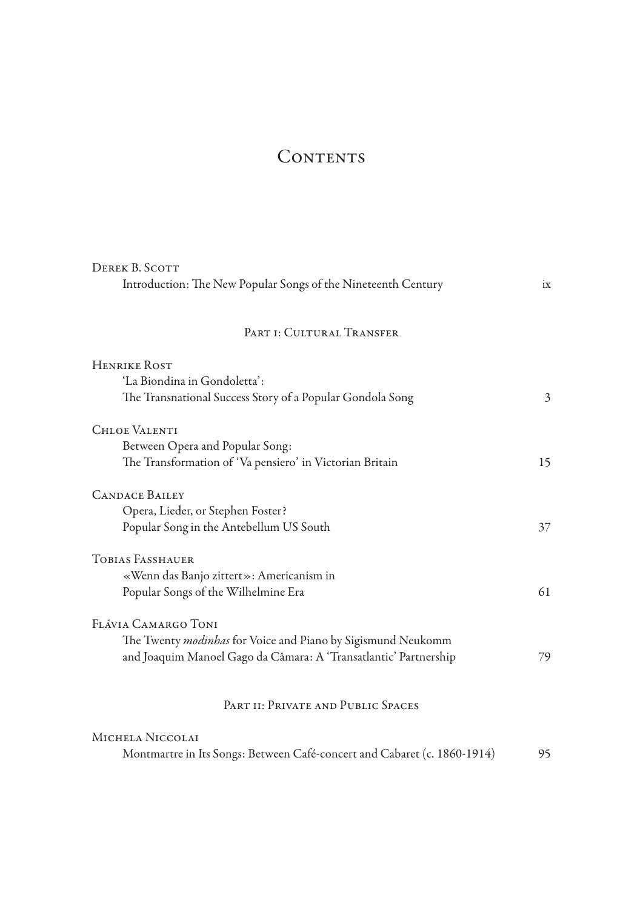## CONTENTS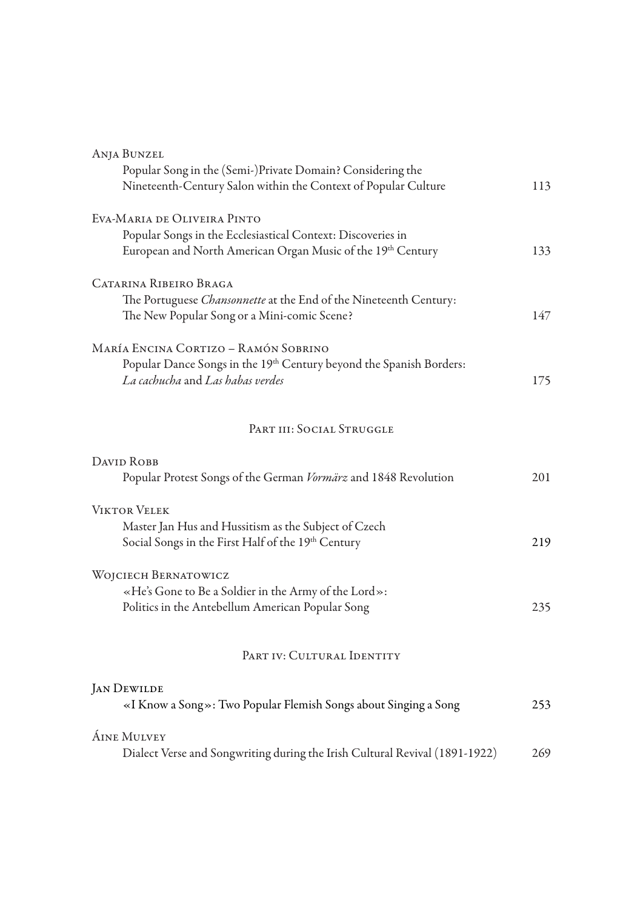| <b>ANJA BUNZEL</b>                                                          |     |
|-----------------------------------------------------------------------------|-----|
| Popular Song in the (Semi-)Private Domain? Considering the                  |     |
| Nineteenth-Century Salon within the Context of Popular Culture              | 113 |
| EVA-MARIA DE OLIVEIRA PINTO                                                 |     |
| Popular Songs in the Ecclesiastical Context: Discoveries in                 |     |
| European and North American Organ Music of the 19th Century                 | 133 |
| CATARINA RIBEIRO BRAGA                                                      |     |
| The Portuguese Chansonnette at the End of the Nineteenth Century:           |     |
| The New Popular Song or a Mini-comic Scene?                                 | 147 |
| MARÍA ENCINA CORTIZO - RAMÓN SOBRINO                                        |     |
| Popular Dance Songs in the 19th Century beyond the Spanish Borders:         |     |
| La cachucha and Las habas verdes                                            | 175 |
| PART III: SOCIAL STRUGGLE                                                   |     |
|                                                                             |     |
| DAVID ROBB                                                                  |     |
| Popular Protest Songs of the German Vormärz and 1848 Revolution             | 201 |
| <b>VIKTOR VELEK</b>                                                         |     |
| Master Jan Hus and Hussitism as the Subject of Czech                        |     |
| Social Songs in the First Half of the 19th Century                          | 219 |
| WOJCIECH BERNATOWICZ                                                        |     |
| «He's Gone to Be a Soldier in the Army of the Lord»:                        |     |
| Politics in the Antebellum American Popular Song                            | 235 |
|                                                                             |     |
| PART IV: CULTURAL IDENTITY                                                  |     |
| <b>JAN DEWILDE</b>                                                          |     |
| «I Know a Song»: Two Popular Flemish Songs about Singing a Song             | 253 |
| <b>ÁINE MULVEY</b>                                                          |     |
| Dialect Verse and Songwriting during the Irish Cultural Revival (1891-1922) | 269 |